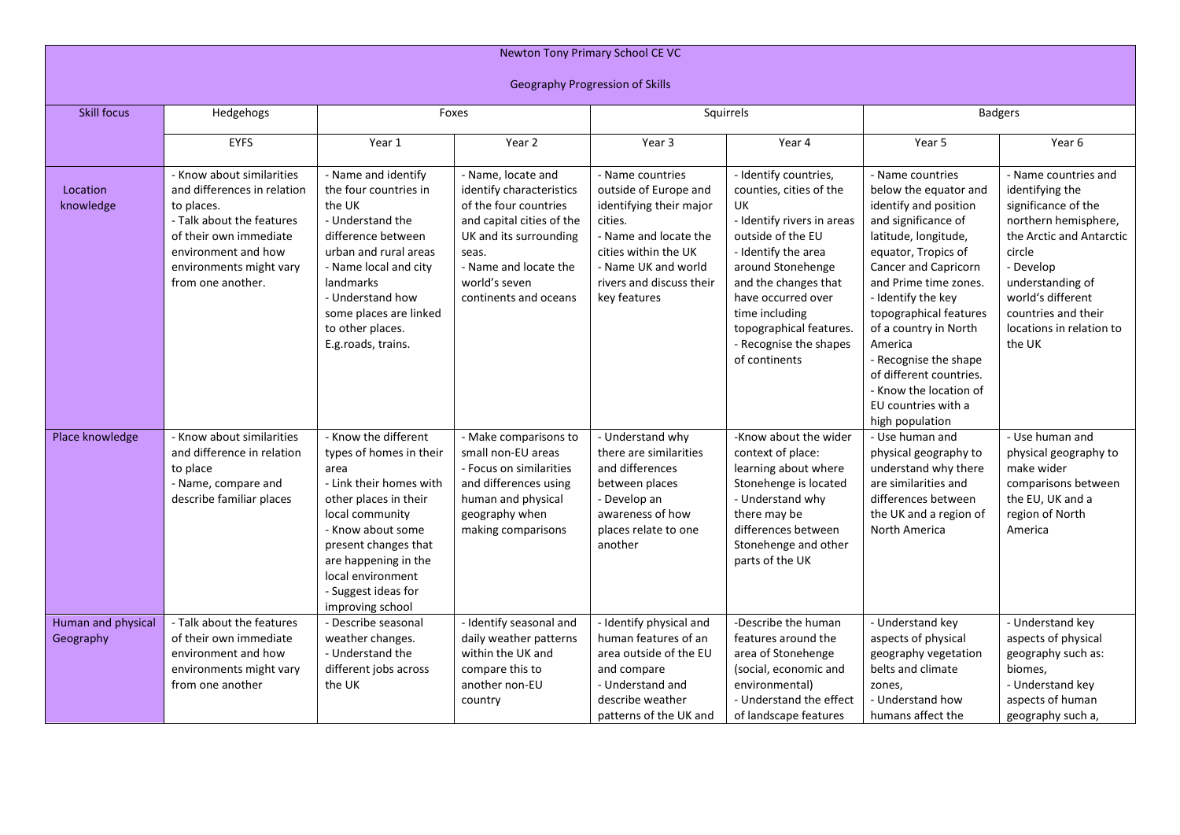| Newton Tony Primary School CE VC       |                                                                                                                                                                                                      |                                                                                                                                                                                                                                                                     |                                                                                                                                                                                                            |                                                                                                                                                                                                     |                                                                                                                                                                                                                                                                                             |                                                                                                                                                                                                                                                                                                                                                                                                              |                                                                                                                                                                                                                                                 |  |
|----------------------------------------|------------------------------------------------------------------------------------------------------------------------------------------------------------------------------------------------------|---------------------------------------------------------------------------------------------------------------------------------------------------------------------------------------------------------------------------------------------------------------------|------------------------------------------------------------------------------------------------------------------------------------------------------------------------------------------------------------|-----------------------------------------------------------------------------------------------------------------------------------------------------------------------------------------------------|---------------------------------------------------------------------------------------------------------------------------------------------------------------------------------------------------------------------------------------------------------------------------------------------|--------------------------------------------------------------------------------------------------------------------------------------------------------------------------------------------------------------------------------------------------------------------------------------------------------------------------------------------------------------------------------------------------------------|-------------------------------------------------------------------------------------------------------------------------------------------------------------------------------------------------------------------------------------------------|--|
| <b>Geography Progression of Skills</b> |                                                                                                                                                                                                      |                                                                                                                                                                                                                                                                     |                                                                                                                                                                                                            |                                                                                                                                                                                                     |                                                                                                                                                                                                                                                                                             |                                                                                                                                                                                                                                                                                                                                                                                                              |                                                                                                                                                                                                                                                 |  |
| <b>Skill focus</b>                     | Hedgehogs                                                                                                                                                                                            | Foxes                                                                                                                                                                                                                                                               |                                                                                                                                                                                                            | Squirrels                                                                                                                                                                                           |                                                                                                                                                                                                                                                                                             | <b>Badgers</b>                                                                                                                                                                                                                                                                                                                                                                                               |                                                                                                                                                                                                                                                 |  |
|                                        | <b>EYFS</b>                                                                                                                                                                                          | Year 1                                                                                                                                                                                                                                                              | Year 2                                                                                                                                                                                                     | Year 3                                                                                                                                                                                              | Year 4                                                                                                                                                                                                                                                                                      | Year 5                                                                                                                                                                                                                                                                                                                                                                                                       | Year 6                                                                                                                                                                                                                                          |  |
| Location<br>knowledge                  | - Know about similarities<br>and differences in relation<br>to places.<br>- Talk about the features<br>of their own immediate<br>environment and how<br>environments might vary<br>from one another. | - Name and identify<br>the four countries in<br>the UK<br>- Understand the<br>difference between<br>urban and rural areas<br>- Name local and city<br>landmarks<br>- Understand how<br>some places are linked<br>to other places.<br>E.g.roads, trains.             | - Name, locate and<br>identify characteristics<br>of the four countries<br>and capital cities of the<br>UK and its surrounding<br>seas.<br>- Name and locate the<br>world's seven<br>continents and oceans | - Name countries<br>outside of Europe and<br>identifying their major<br>cities.<br>- Name and locate the<br>cities within the UK<br>- Name UK and world<br>rivers and discuss their<br>key features | - Identify countries,<br>counties, cities of the<br>UK<br>- Identify rivers in areas<br>outside of the EU<br>- Identify the area<br>around Stonehenge<br>and the changes that<br>have occurred over<br>time including<br>topographical features.<br>- Recognise the shapes<br>of continents | - Name countries<br>below the equator and<br>identify and position<br>and significance of<br>latitude, longitude,<br>equator, Tropics of<br><b>Cancer and Capricorn</b><br>and Prime time zones.<br>- Identify the key<br>topographical features<br>of a country in North<br>America<br>- Recognise the shape<br>of different countries.<br>- Know the location of<br>EU countries with a<br>high population | - Name countries and<br>identifying the<br>significance of the<br>northern hemisphere,<br>the Arctic and Antarctic<br>circle<br>- Develop<br>understanding of<br>world's different<br>countries and their<br>locations in relation to<br>the UK |  |
| Place knowledge                        | - Know about similarities<br>and difference in relation<br>to place<br>- Name, compare and<br>describe familiar places                                                                               | - Know the different<br>types of homes in their<br>area<br>- Link their homes with<br>other places in their<br>local community<br>- Know about some<br>present changes that<br>are happening in the<br>local environment<br>- Suggest ideas for<br>improving school | - Make comparisons to<br>small non-EU areas<br>- Focus on similarities<br>and differences using<br>human and physical<br>geography when<br>making comparisons                                              | - Understand why<br>there are similarities<br>and differences<br>between places<br>- Develop an<br>awareness of how<br>places relate to one<br>another                                              | -Know about the wider<br>context of place:<br>learning about where<br>Stonehenge is located<br>- Understand why<br>there may be<br>differences between<br>Stonehenge and other<br>parts of the UK                                                                                           | - Use human and<br>physical geography to<br>understand why there<br>are similarities and<br>differences between<br>the UK and a region of<br>North America                                                                                                                                                                                                                                                   | - Use human and<br>physical geography to<br>make wider<br>comparisons between<br>the EU, UK and a<br>region of North<br>America                                                                                                                 |  |
| Human and physical<br>Geography        | - Talk about the features<br>of their own immediate<br>environment and how<br>environments might vary<br>from one another                                                                            | - Describe seasonal<br>weather changes.<br>- Understand the<br>different jobs across<br>the UK                                                                                                                                                                      | - Identify seasonal and<br>daily weather patterns<br>within the UK and<br>compare this to<br>another non-EU<br>country                                                                                     | - Identify physical and<br>human features of an<br>area outside of the EU<br>and compare<br>- Understand and<br>describe weather<br>patterns of the UK and                                          | -Describe the human<br>features around the<br>area of Stonehenge<br>(social, economic and<br>environmental)<br>- Understand the effect<br>of landscape features                                                                                                                             | - Understand key<br>aspects of physical<br>geography vegetation<br>belts and climate<br>zones,<br>- Understand how<br>humans affect the                                                                                                                                                                                                                                                                      | - Understand key<br>aspects of physical<br>geography such as:<br>biomes,<br>- Understand key<br>aspects of human<br>geography such a,                                                                                                           |  |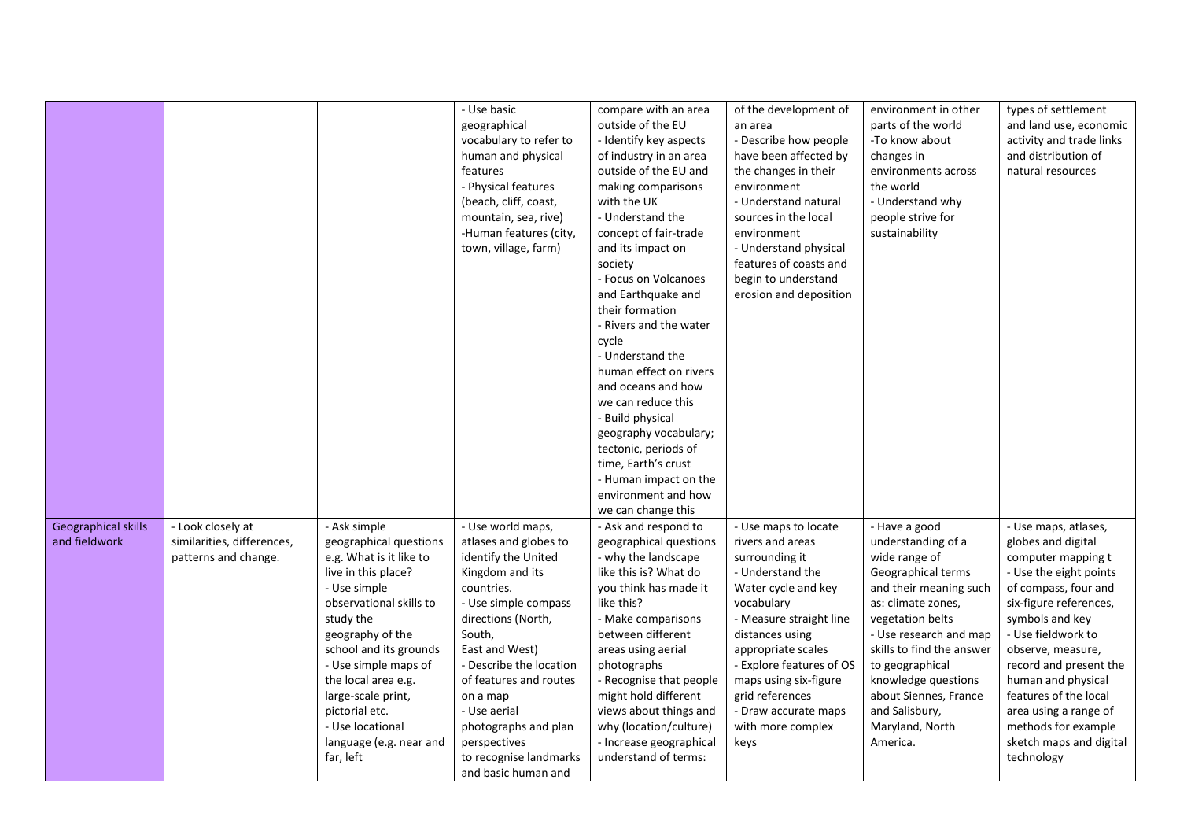|                     |                            |                         | - Use basic             | compare with an area    | of the development of    | environment in other      | types of settlement      |
|---------------------|----------------------------|-------------------------|-------------------------|-------------------------|--------------------------|---------------------------|--------------------------|
|                     |                            |                         | geographical            | outside of the EU       | an area                  | parts of the world        | and land use, economic   |
|                     |                            |                         | vocabulary to refer to  | - Identify key aspects  | - Describe how people    | -To know about            | activity and trade links |
|                     |                            |                         | human and physical      | of industry in an area  | have been affected by    | changes in                | and distribution of      |
|                     |                            |                         | features                | outside of the EU and   | the changes in their     | environments across       | natural resources        |
|                     |                            |                         | - Physical features     | making comparisons      | environment              | the world                 |                          |
|                     |                            |                         | (beach, cliff, coast,   | with the UK             | - Understand natural     | - Understand why          |                          |
|                     |                            |                         | mountain, sea, rive)    | - Understand the        | sources in the local     | people strive for         |                          |
|                     |                            |                         | -Human features (city,  | concept of fair-trade   | environment              | sustainability            |                          |
|                     |                            |                         | town, village, farm)    | and its impact on       | - Understand physical    |                           |                          |
|                     |                            |                         |                         | society                 | features of coasts and   |                           |                          |
|                     |                            |                         |                         | - Focus on Volcanoes    | begin to understand      |                           |                          |
|                     |                            |                         |                         | and Earthquake and      | erosion and deposition   |                           |                          |
|                     |                            |                         |                         | their formation         |                          |                           |                          |
|                     |                            |                         |                         | - Rivers and the water  |                          |                           |                          |
|                     |                            |                         |                         | cycle                   |                          |                           |                          |
|                     |                            |                         |                         | - Understand the        |                          |                           |                          |
|                     |                            |                         |                         | human effect on rivers  |                          |                           |                          |
|                     |                            |                         |                         | and oceans and how      |                          |                           |                          |
|                     |                            |                         |                         | we can reduce this      |                          |                           |                          |
|                     |                            |                         |                         | - Build physical        |                          |                           |                          |
|                     |                            |                         |                         | geography vocabulary;   |                          |                           |                          |
|                     |                            |                         |                         | tectonic, periods of    |                          |                           |                          |
|                     |                            |                         |                         | time, Earth's crust     |                          |                           |                          |
|                     |                            |                         |                         | - Human impact on the   |                          |                           |                          |
|                     |                            |                         |                         | environment and how     |                          |                           |                          |
|                     |                            |                         |                         | we can change this      |                          |                           |                          |
| Geographical skills | - Look closely at          | - Ask simple            | - Use world maps,       | - Ask and respond to    | - Use maps to locate     | - Have a good             | - Use maps, atlases,     |
| and fieldwork       | similarities, differences, | geographical questions  | atlases and globes to   | geographical questions  | rivers and areas         | understanding of a        | globes and digital       |
|                     | patterns and change.       | e.g. What is it like to | identify the United     | - why the landscape     | surrounding it           | wide range of             | computer mapping t       |
|                     |                            | live in this place?     | Kingdom and its         | like this is? What do   | - Understand the         | Geographical terms        | - Use the eight points   |
|                     |                            | - Use simple            | countries.              | you think has made it   | Water cycle and key      | and their meaning such    | of compass, four and     |
|                     |                            | observational skills to | - Use simple compass    | like this?              | vocabulary               | as: climate zones,        | six-figure references,   |
|                     |                            | study the               | directions (North,      | - Make comparisons      | - Measure straight line  | vegetation belts          | symbols and key          |
|                     |                            | geography of the        | South,                  | between different       | distances using          | - Use research and map    | - Use fieldwork to       |
|                     |                            | school and its grounds  | East and West)          | areas using aerial      | appropriate scales       | skills to find the answer | observe, measure,        |
|                     |                            | - Use simple maps of    | - Describe the location | photographs             | - Explore features of OS | to geographical           | record and present the   |
|                     |                            | the local area e.g.     | of features and routes  | - Recognise that people | maps using six-figure    | knowledge questions       | human and physical       |
|                     |                            | large-scale print,      | on a map                | might hold different    | grid references          | about Siennes, France     | features of the local    |
|                     |                            | pictorial etc.          | - Use aerial            | views about things and  | - Draw accurate maps     | and Salisbury,            | area using a range of    |
|                     |                            | - Use locational        | photographs and plan    | why (location/culture)  | with more complex        | Maryland, North           | methods for example      |
|                     |                            | language (e.g. near and | perspectives            | - Increase geographical | keys                     | America.                  | sketch maps and digital  |
|                     |                            | far, left               | to recognise landmarks  | understand of terms:    |                          |                           | technology               |
|                     |                            |                         | and basic human and     |                         |                          |                           |                          |